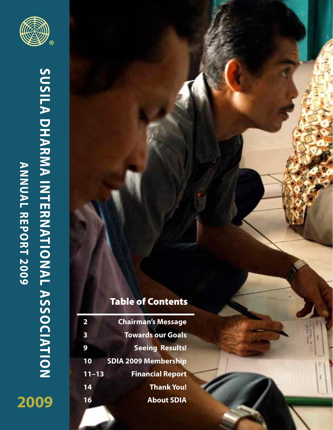# **SUSILA DHARMA INTERNATIONAL ASSOCIATION sila Dharma International Association** ANNUAL REPORT 2009 **Annual Report 2009 2009**



# Table of Contents

| $\overline{\mathbf{2}}$ | <b>Chairman's Message</b>   |
|-------------------------|-----------------------------|
| $\overline{\mathbf{3}}$ | <b>Towards our Goals</b>    |
| 9                       | <b>Seeing Results!</b>      |
| 10                      | <b>SDIA 2009 Membership</b> |
| $11 - 13$               | <b>Financial Report</b>     |
| 14                      | <b>Thank You!</b>           |
| 16                      | <b>About SDIA</b>           |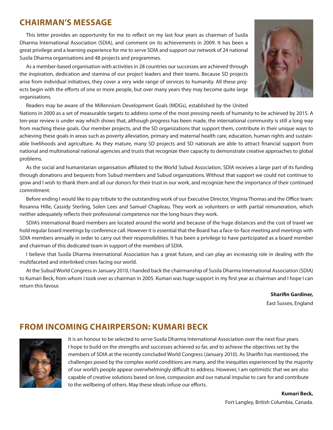# **Chairman's Message**

This letter provides an opportunity for me to reflect on my last four years as chairman of Susila Dharma International Association (SDIA), and comment on its achievements in 2009. It has been a great privilege and a learning experience for me to serve SDIA and support our network of 24 national Susila Dharma organisations and 48 projects and programmes.

As a member-based organisation with activities in 28 countries our successes are achieved through the inspiration, dedication and stamina of our project leaders and their teams. Because SD projects arise from individual initiatives, they cover a very wide range of services to humanity. All these projects begin with the efforts of one or more people, but over many years they may become quite large organisations.



Readers may be aware of the Millennium Development Goals (MDGs), established by the United

Nations in 2000 as a set of measurable targets to address some of the most pressing needs of humanity to be achieved by 2015. A ten-year review is under way which shows that, although progress has been made, the international community is still a long way from reaching these goals. Our member projects, and the SD organizations that support them, contribute in their unique ways to achieving these goals in areas such as poverty alleviation, primary and maternal health care, education, human rights and sustainable livelihoods and agriculture. As they mature, many SD projects and SD nationals are able to attract financial support from national and multinational national agencies and trusts that recognize their capacity to demonstrate creative approaches to global problems.

As the social and humanitarian organisation affiliated to the World Subud Association, SDIA receives a large part of its funding through donations and bequests from Subud members and Subud organizations. Without that support we could not continue to grow and I wish to thank them and all our donors for their trust in our work, and recognize here the importance of their continued commitment.

Before ending I would like to pay tribute to the outstanding work of our Executive Director, Virginia Thomas and the Office team: Rosanna Hille, Cassidy Sterling, Solen Lees and Samuel Chapleau. They work as volunteers or with partial remuneration, which neither adequately reflects their professional competence nor the long hours they work.

SDIA's international Board members are located around the world and because of the huge distances and the cost of travel we hold regular board meetings by conference call. However it is essential that the Board has a face-to-face meeting and meetings with SDIA members annually in order to carry out their responsibilities. It has been a privilege to have participated as a board member and chairman of this dedicated team in support of the members of SDIA.

I believe that Susila Dharma International Association has a great future, and can play an increasing role in dealing with the multifaceted and interlinked crises facing our world.

At the Subud World Congress in January 2010, I handed back the chairmanship of Susila Dharma International Association (SDIA) to Kumari Beck, from whom I took over as chairman in 2005. Kumari was huge support in my first year as chairman and I hope I can return this favour.

> **Sharifin Gardiner,** East Sussex, England

## **From Incoming Chairperson: Kumari Beck**



It is an honour to be selected to serve Susila Dharma International Association over the next four years. I hope to build on the strengths and successes achieved so far, and to achieve the objectives set by the members of SDIA at the recently concluded World Congress (January 2010). As Sharifin has mentioned, the challenges posed by the complex world conditions are many, and the inequities experienced by the majority of our world's people appear overwhelmingly difficult to address. However, I am optimistic that we are also capable of creative solutions based on love, compassion and our natural impulse to care for and contribute to the wellbeing of others. May these ideals infuse our efforts.

**Kumari Beck,** 

Fort Langley, British Columbia, Canada.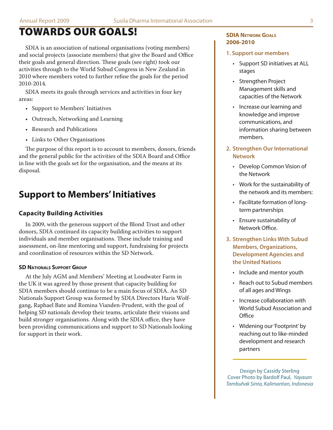# Towards Our Goals!

SDIA is an association of national organisations (voting members) and social projects (associate members) that give the Board and Office their goals and general direction. These goals (see right) took our activities through to the World Subud Congress in New Zealand in 2010 where members voted to further refine the goals for the period 2010-2014.

SDIA meets its goals through services and activities in four key areas:

- Support to Members' Initiatives
- Outreach, Networking and Learning
- Research and Publications
- Links to Other Organisations

The purpose of this report is to account to members, donors, friends and the general public for the activities of the SDIA Board and Office in line with the goals set for the organisation, and the means at its disposal.

# **Support to Members'Initiatives**

## **Capacity Building Activities**

In 2009, with the generous support of the Blond Trust and other donors, SDIA continued its capacity building activities to support individuals and member organisations. These include training and assessment, on-line mentoring and support, fundraising for projects and coordination of resources within the SD Network.

### **SD NATIONALS SUPPORT GROUP**

At the July AGM and Members' Meeting at Loudwater Farm in the UK it was agreed by those present that capacity building for SDIA members should continue to be a main focus of SDIA. An SD Nationals Support Group was formed by SDIA Directors Haris Wolfgang, Raphael Bate and Romina Vianden-Prudent, with the goal of helping SD nationals develop their teams, articulate their visions and build stronger organisations. Along with the SDIA office, they have been providing communications and support to SD Nationals looking for support in their work.

#### **SDIA Network Goals 2006-2010**

#### **1. Support our members**

- Support SD initiatives at ALL stages
- Strengthen Project Management skills and capacities of the Network
- Increase our learning and knowledge and improve communications, and information sharing between members.
- **2. Strengthen Our International Network**
	- Develop Common Vision of the Network
	- Work for the sustainability of the network and its members:
	- Facilitate formation of longterm partnerships
	- Ensure sustainability of Network Office.
- **3. Strengthen Links With Subud Members, Organizations, Development Agencies and the United Nations**
	- Include and mentor youth
	- Reach out to Subud members of all ages and Wings
	- Increase collaboration with World Subud Association and **Office**
	- Widening our 'Footprint' by reaching out to like-minded development and research partners

Design by Cassidy Sterling Cover Photo by Bardolf Paul, *Yayasan Tambuhak Sinta, Kalimantan, Indonesia*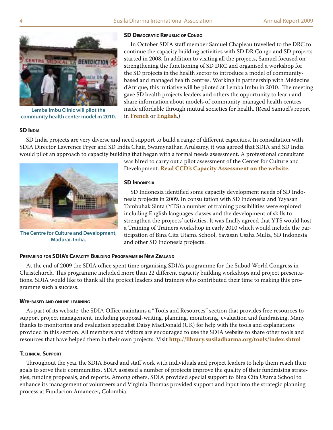

**Lemba Imbu Clinic will pilot the community health center model in 2010.**

#### **SD Democratic Republic of Congo**

In October SDIA staff member Samuel Chapleau travelled to the DRC to continue the capacity building activities with SD DR Congo and SD projects started in 2008. In addition to visiting all the projects, Samuel focused on strengthening the functioning of SD DRC and organised a workshop for the SD projects in the health sector to introduce a model of communitybased and managed health centres. Working in partnership with Médecins d'Afrique, this initiative will be piloted at Lemba Imbu in 2010. The meeting gave SD health projects leaders and others the opportunity to learn and share information about models of community-managed health centres made affordable through mutual societies for health. (Read Samuel's report in **[French](http://www.subud.ca/susila-dharma.jiwa?tx_cccbrowse_pi1[pointer]=1&cHash=b91be55ab2)** or **[English](http://www.subud.ca/susila-dharma.jiwa?tx_cccbrowse_pi1[pointer]=2&cHash=a6337e8383)**.)

#### **SD INDIA**

SD India projects are very diverse and need support to build a range of different capacities. In consultation with SDIA Director Lawrence Fryer and SD India Chair, Swamynathan Arulsamy, it was agreed that SDIA and SD India would pilot an approach to capacity building that began with a formal needs assessment. A professional consultant



**The Centre for Culture and Development, Madurai, India.**

was hired to carry out a pilot assessment of the Center for Culture and Development. **[Read CCD's Capacity Assessment on the website.](http://library.susiladharma.org/members_sd_project_reports/2010_06_CCD_SWOT_Analysis.shtml)**

#### **SD INDONESIA**

SD Indonesia identified some capacity development needs of SD Indonesia projects in 2009. In consultation with SD Indonesia and Yayasan Tambuhak Sinta (YTS) a number of training possibilities were explored including English languages classes and the development of skills to strengthen the projects' activities. It was finally agreed that YTS would host a Training of Trainers workshop in early 2010 which would include the participation of Bina Cita Utama School, Yayasan Usaha Mulia, SD Indonesia and other SD Indonesia projects.

#### **Preparing for SDIA's Capacity Building Programme in New Zealand**

At the end of 2009 the SDIA office spent time organising SDIA's programme for the Subud World Congress in Christchurch. This programme included more than 22 different capacity building workshops and project presentations. SDIA would like to thank all the project leaders and trainers who contributed their time to making this programme such a success.

#### **Web-based and online learning**

As part of its website, the SDIA Office maintains a "Tools and Resources" section that provides free resources to support project management, including proposal-writing, planning, monitoring, evaluation and fundraising. Many thanks to monitoring and evaluation specialist Daisy MacDonald (UK) for help with the tools and explanations provided in this section. All members and visitors are encouraged to use the SDIA website to share other tools and resources that have helped them in their own projects. Visit **<http://library.susiladharma.org/tools/index.shtml>**

#### **Technical Support**

Throughout the year the SDIA Board and staff work with individuals and project leaders to help them reach their goals to serve their communities. SDIA assisted a number of projects improve the quality of their fundraising strategies, funding proposals, and reports. Among others, SDIA provided special support to Bina Cita Utama School to enhance its management of volunteers and Virginia Thomas provided support and input into the strategic planning process at Fundacion Amanecer, Colombia.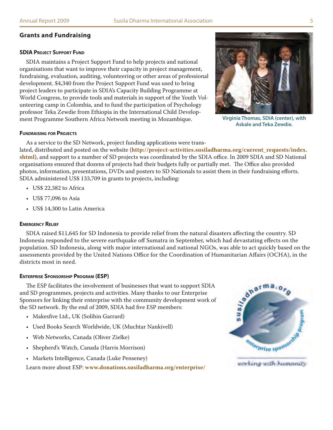## **Grants and Fundraising**

#### **SDIA Project Support Fund**

SDIA maintains a Project Support Fund to help projects and national organisations that want to improve their capacity in project management, fundraising, evaluation, auditing, volunteering or other areas of professional development. \$4,340 from the Project Support Fund was used to bring project leaders to participate in SDIA's Capacity Building Programme at World Congress, to provide tools and materials in support of the Youth Volunteering camp in Colombia, and to fund the participation of Psychology professor Teka Zewdie from Ethiopia in the International Child Development Programme Southern Africa Network meeting in Mozambique.



**Virginia Thomas, SDIA (center), with Askale and Teka Zewdie.**

#### **Fundraising for Projects**

As a service to the SD Network, project funding applications were trans-

lated, distributed and posted on the website ([http://project-activities.susiladharma.org/current\\_requests/index.](http://project-activities.susiladharma.org/current_requests/index.shtml) **[shtml](http://project-activities.susiladharma.org/current_requests/index.shtml)**), and support to a number of SD projects was coordinated by the SDIA office. In 2009 SDIA and SD National organisations ensured that dozens of projects had their budgets fully or partially met. The Office also provided photos, information, presentations, DVDs and posters to SD Nationals to assist them in their fundraising efforts. SDIA administered US\$ 133,709 in grants to projects, including:

- US\$ 22,382 to Africa
- US\$ 77,096 to Asia
- US\$ 14,300 to Latin America

#### **Emergency Relief**

SDIA raised \$11,645 for SD Indonesia to provide relief from the natural disasters affecting the country. SD Indonesia responded to the severe earthquake off Sumatra in September, which had devastating effects on the population. SD Indonesia, along with major international and national NGOs, was able to act quickly based on the assessments provided by the United Nations Office for the Coordination of Humanitarian Affairs (OCHA), in the districts most in need.

#### **Enterprise Sponsorship Program (ESP)**

The ESP facilitates the involvement of businesses that want to support SDIA and SD programmes, projects and activities. Many thanks to our Enterprise Sponsors for linking their enterprise with the community development work of the SD network. By the end of 2009, SDIA had five ESP members:

- Makesfive Ltd., UK (Solihin Garrard)
- Used Books Search Worldwide, UK (Muchtar Nankivell)
- Web Networks, Canada (Oliver Zielke)
- Shepherd's Watch, Canada (Harris Morrison)
- Markets Intelligence, Canada (Luke Penseney)

Learn more about ESP: **www[.donations.susiladharma.org/enterprise/](http://donations.susiladharma.org/enterprise/)**

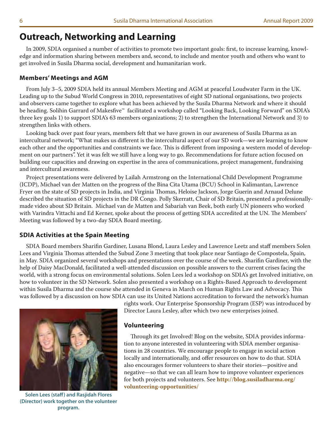# **Outreach, Networking and Learning**

In 2009, SDIA organised a number of activities to promote two important goals: first, to increase learning, knowledge and information sharing between members and, second, to include and mentor youth and others who want to get involved in Susila Dharma social, development and humanitarian work.

### **Members' Meetings and AGM**

From July 3–5, 2009 SDIA held its annual Members Meeting and AGM at peaceful Loudwater Farm in the UK. Leading up to the Subud World Congress in 2010, representatives of eight SD national organisations, two projects and observers came together to explore what has been achieved by the Susila Dharma Network and where it should be heading. Solihin Garrard of Makesfive™ facilitated a workshop called "Looking Back, Looking Forward" on SDIA's three key goals 1) to support SDIA's 63 members organizations; 2) to strengthen the International Network and 3) to strengthen links with others.

Looking back over past four years, members felt that we have grown in our awareness of Susila Dharma as an intercultural network; "What makes us different is the intercultural aspect of our SD work—we are learning to know each other and the opportunities and constraints we face. This is different from imposing a western model of development on our partners". Yet it was felt we still have a long way to go. Recommendations for future action focused on building our capacities and drawing on expertise in the area of communications, project management, fundraising and intercultural awareness.

Project presentations were delivered by Lailah Armstrong on the International Child Development Programme (ICDP), Michael van der Matten on the progress of the Bina Cita Utama (BCU) School in Kalimantan, Lawrence Fryer on the state of SD projects in India, and Virginia Thomas, Heloise Jackson, Jorge Guerin and Arnaud Delune described the situation of SD projects in the DR Congo. Polly Skerratt, Chair of SD Britain, presented a professionallymade video about SD Britain. Michael van de Matten and Sabariah van Beek, both early UN pioneers who worked with Varindra Vittachi and Ed Kerner, spoke about the process of getting SDIA accredited at the UN. The Members' Meeting was followed by a two-day SDIA Board meeting.

### **SDIA Activities at the Spain Meeting**

SDIA Board members Sharifin Gardiner, Lusana Blond, Laura Lesley and Lawrence Leetz and staff members Solen Lees and Virginia Thomas attended the Subud Zone 3 meeting that took place near Santiago de Compostela, Spain, in May. SDIA organized several workshops and presentations over the course of the week. Sharifin Gardiner, with the help of Daisy MacDonald, facilitated a well-attended discussion on possible answers to the current crises facing the world, with a strong focus on environmental solutions. Solen Lees led a workshop on SDIA's get Involved initiative, on how to volunteer in the SD Network. Solen also presented a workshop on a Rights-Based Approach to development within Susila Dharma and the course she attended in Geneva in March on Human Rights Law and Advocacy. This was followed by a discussion on how SDIA can use its United Nations accreditation to forward the network's human



**Solen Lees (staff) and Rasjidah Flores (Director) work together on the volunteer program.**

rights work. Our Enterprise Sponsorship Program (ESP) was introduced by Director Laura Lesley, after which two new enterprises joined.

#### **Volunteering**

Through its get Involved! Blog on the website, SDIA provides information to anyone interested in volunteering with SDIA member organisations in 28 countries. We encourage people to engage in social action locally and internationally, and offer resources on how to do that. SDIA also encourages former volunteers to share their stories—positive and negative—so that we can all learn how to improve volunteer experiences for both projects and volunteers. See **[http://blog.susiladharma.org/](http://blog.susiladharma.org/volunteering-opportunities/) [volunteering-opportunities/](http://blog.susiladharma.org/volunteering-opportunities/)**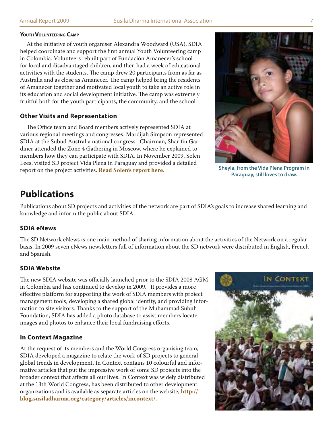#### **Youth Volunteering Camp**

At the initiative of youth organiser Alexandra Woodward (USA), SDIA helped coordinate and support the first annual Youth Volunteering camp in Colombia. Volunteers rebuilt part of Fundación Amanecer's school for local and disadvantaged children, and then had a week of educational activities with the students. The camp drew 20 participants from as far as Australia and as close as Amanecer. The camp helped bring the residents of Amanecer together and motivated local youth to take an active role in its education and social development initiative. The camp was extremely fruitful both for the youth participants, the community, and the school.

#### **Other Visits and Representation**

The Office team and Board members actively represented SDIA at various regional meetings and congresses. Mardijah Simpson represented SDIA at the Subud Australia national congress. Chairman, Sharifin Gardiner attended the Zone 4 Gathering in Moscow, where he explained to members how they can participate with SDIA. In November 2009, Solen Lees, visited SD project Vida Plena in Paraguay and provided a detailed report on the project activities. **[Read Solen's report here.](http://library.susiladharma.org/education/2009_12_Report_on_Vida_Plena.shtml)**



**Sheyla, from the Vida Plena Program in Paraguay, still loves to draw.**

# **Publications**

Publications about SD projects and activities of the network are part of SDIA's goals to increase shared learning and knowledge and inform the public about SDIA.

### **SDIA eNews**

The SD Network eNews is one main method of sharing information about the activities of the Network on a regular basis. In 2009 seven eNews newsletters full of information about the SD network were distributed in English, French and Spanish.

## **SDIA Website**

The new SDIA website was officially launched prior to the SDIA 2008 AGM in Colombia and has continued to develop in 2009. It provides a more effective platform for supporting the work of SDIA members with project management tools, developing a shared global identity, and providing information to site visitors. Thanks to the support of the Muhammad Subuh Foundation, SDIA has added a photo database to assist members locate images and photos to enhance their local fundraising efforts.

### **In Context Magazine**

At the request of its members and the World Congress organising team, SDIA developed a magazine to relate the work of SD projects to general global trends in development. In Context contains 10 colourful and informative articles that put the impressive work of some SD projects into the broader context that affects all our lives. In Context was widely distributed at the 13th World Congress, has been distributed to other development organizations and is available as separate articles on the website, **[http://](http://blog.susiladharma.org/category/articles/incontext/) [blog.susiladharma.org/category/articles/incontext/](http://blog.susiladharma.org/category/articles/incontext/)**.

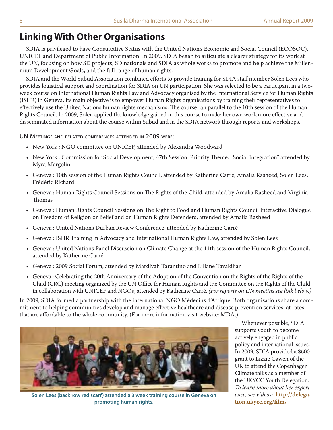# **Linking With Other Organisations**

SDIA is privileged to have Consultative Status with the United Nation's Economic and Social Council (ECOSOC), UNICEF and Department of Public Information. In 2009, SDIA began to articulate a clearer strategy for its work at the UN, focusing on how SD projects, SD nationals and SDIA as whole works to promote and help achieve the Millennium Development Goals, and the full range of human rights.

SDIA and the World Subud Association combined efforts to provide training for SDIA staff member Solen Lees who provides logistical support and coordination for SDIA on UN participation. She was selected to be a participant in a twoweek course on International Human Rights Law and Advocacy organised by the International Service for Human Rights (ISHR) in Geneva. Its main objective is to empower Human Rights organisations by training their representatives to effectively use the United Nations human rights mechanisms. The course ran parallel to the 10th session of the Human Rights Council. In 2009, Solen applied the knowledge gained in this course to make her own work more effective and disseminated information about the course within Subud and in the SDIA network through reports and workshops.

UN Meetings and related conferences attended in 2009 were:

- New York : NGO committee on UNICEF, attended by Alexandra Woodward
- New York : Commission for Social Development, 47th Session. Priority Theme: "Social Integration" attended by Myra Margolin
- Geneva : 10th session of the Human Rights Council, attended by Katherine Carré, Amalia Rasheed, Solen Lees, Frédéric Richard
- Geneva : Human Rights Council Sessions on The Rights of the Child, attended by Amalia Rasheed and Virginia Thomas
- Geneva : Human Rights Council Sessions on The Right to Food and Human Rights Council Interactive Dialogue on Freedom of Religion or Belief and on Human Rights Defenders, attended by Amalia Rasheed
- Geneva : United Nations Durban Review Conference, attended by Katherine Carré
- Geneva : ISHR Training in Advocacy and International Human Rights Law, attended by Solen Lees
- Geneva : United Nations Panel Discussion on Climate Change at the 11th session of the Human Rights Council, attended by Katherine Carré
- Geneva : 2009 Social Forum, attended by Mardiyah Tarantino and Liliane Tavakilian
- Geneva : Celebrating the 20th Anniversary of the Adoption of the Convention on the Rights of the Rights of the Child (CRC) meeting organized by the UN Office for Human Rights and the Committee on the Rights of the Child, in collaboration with UNICEF and NGOs, attended by Katherine Carré. *(For reports on UN meetins see link below.)*

In 2009, SDIA formed a partnership with the international NGO Médecins d'Afrique. Both organisations share a commitment to helping communities develop and manage effective healthcare and disease prevention services, at rates that are affordable to the whole community. (For more information visit website: MDA.)



**Solen Lees (back row red scarf) attended a 3 week training course in Geneva on promoting human rights.**

Whenever possible, SDIA supports youth to become actively engaged in public policy and international issues. In 2009, SDIA provided a \$600 grant to Lizzie Gawen of the UK to attend the Copenhagen Climate talks as a member of the UKYCC Youth Delegation. *To learn more about her experience, see videos:* **[http://delega](http://delegation.ukycc.org/film/)[tion.ukycc.org/film/](http://delegation.ukycc.org/film/)**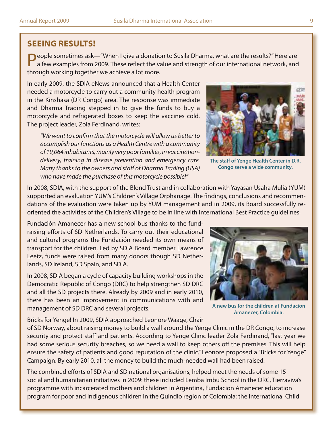## **Seeing Results!**

People sometimes ask—"When I give a donation to Susila Dharma, what are the results?" Here are a few examples from 2009. These reflect the value and strength of our international network, and through working together we achieve a lot more.

In early 2009, the SDIA eNews announced that a Health Center needed a motorcycle to carry out a community health program in the Kinshasa (DR Congo) area. The response was immediate and Dharma Trading stepped in to give the funds to buy a motorcycle and refrigerated boxes to keep the vaccines cold. The project leader, Zola Ferdinand, writes:

*"We want to confirm that the motorcycle will allow us better to accomplish our functions as a Health Centre with a community of 19,064 inhabitants, mainly very poor families, in vaccinationdelivery, training in disease prevention and emergency care. Many thanks to the owners and staff of Dharma Trading (USA) who have made the purchase of this motorcycle possible!"*



**The staff of Yenge Health Center in D.R. Congo serve a wide community.**

In 2008, SDIA, with the support of the Blond Trust and in collaboration with Yayasan Usaha Mulia (YUM) supported an evaluation YUM's Children's Village Orphanage. The findings, conclusions and recommendations of the evaluation were taken up by YUM management and in 2009, its Board successfully reoriented the activities of the Children's Village to be in line with International Best Practice guidelines.

Fundación Amanecer has a new school bus thanks to the fundraising efforts of SD Netherlands. To carry out their educational and cultural programs the Fundación needed its own means of transport for the children. Led by SDIA Board member Lawrence Leetz, funds were raised from many donors though SD Netherlands, SD Ireland, SD Spain, and SDIA.

In 2008, SDIA began a cycle of capacity building workshops in the Democratic Republic of Congo (DRC) to help strengthen SD DRC and all the SD projects there. Already by 2009 and in early 2010, there has been an improvement in communications with and management of SD DRC and several projects.

Bricks for Yenge! In 2009, SDIA approached Leonore Waage, Chair



**A new bus for the children at Fundacion Amanecer, Colombia.**

of SD Norway, about raising money to build a wall around the Yenge Clinic in the DR Congo, to increase security and protect staff and patients. According to Yenge Clinic leader Zola Ferdinand, "last year we had some serious security breaches, so we need a wall to keep others off the premises. This will help ensure the safety of patients and good reputation of the clinic." Leonore proposed a "Bricks for Yenge" Campaign. By early 2010, all the money to build the much-needed wall had been raised.

The combined efforts of SDIA and SD national organisations, helped meet the needs of some 15 social and humanitarian initiatives in 2009: these included Lemba Imbu School in the DRC, Tierraviva's programme with incarcerated mothers and children in Argentina, Fundacion Amanecer education program for poor and indigenous children in the Quindio region of Colombia; the International Child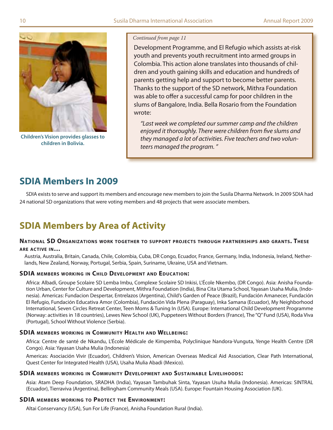

**Children's Vision provides glasses to children in Bolivia.**

#### *Continued from page 11*

Development Programme, and El Refugio which assists at-risk youth and prevents youth recruitment into armed groups in Colombia. This action alone translates into thousands of children and youth gaining skills and education and hundreds of parents getting help and support to become better parents. Thanks to the support of the SD network, Mithra Foundation was able to offer a successful camp for poor children in the slums of Bangalore, India. Bella Rosario from the Foundation wrote:

*"Last week we completed our summer camp and the children enjoyed it thoroughly. There were children from five slums and they managed a lot of activities. Five teachers and two volunteers managed the program. "*

# **SDIA Members In 2009**

SDIA exists to serve and support its members and encourage new members to join the Susila Dharma Network. In 2009 SDIA had 24 national SD organizations that were voting members and 48 projects that were associate members.

# **SDIA Members by Area of Activity**

#### **National SD Organizations work together to suppor t projects through par tnerships and grants. These are active in…**

#### Austria, Australia, Britain, Canada, Chile, Colombia, Cuba, DR Congo, Ecuador, France, Germany, India, Indonesia, Ireland, Netherlands, New Zealand, Norway, Portugal, Serbia, Spain, Suriname, Ukraine, USA and Vietnam.

### **SDIA members working in Child Development and Education:**

Africa: Albadi, Groupe Scolaire SD Lemba Imbu, Complexe Scolaire SD Inkisi, L'École Nkembo, (DR Congo). Asia: Anisha Foundation Urban, Center for Culture and Development, Mithra Foundation (India), Bina Cita Utama School, Yayasan Usaha Mulia, (Indonesia). Americas: Fundacion Despertar, Entrelazos (Argentina), Child's Garden of Peace (Brazil), Fundación Amanecer, Fundación El Refugio, Fundación Educativa Amor (Colombia), Fundación Vida Plena (Paraguay), Inka Samana (Ecuador), My Neighborhood International, Seven Circles Retreat Center, Teen Moms & Tuning In (USA). Europe: International Child Development Programme (Norway: activities in 18 countries), Lewes New School (UK), Puppeteers Without Borders (France), The "Q" Fund (USA), Roda Viva (Portugal), School Without Violence (Serbia).

### **SDIA members working in Community Health and Wellbeing:**

Africa: Centre de santé de Nkandu, L'École Médicale de Kimpemba, Polyclinique Nandora-Vunguta, Yenge Health Centre (DR Congo). Asia: Yayasan Usaha Mulia (Indonesia)

Americas: Asociación Vivir (Ecuador), Children's Vision, American Overseas Medical Aid Association, Clear Path International, Quest Center for Integrated Health (USA), Usaha Mulia Abadi (Mexico).

### **SDIA members working in Community Development and Sustainable Livelihoods:**

Asia: Atam Deep Foundation, SRADHA (India), Yayasan Tambuhak Sinta, Yayasan Usuha Mulia (Indonesia). Americas: SINTRAL (Ecuador), Tierraviva (Argentina), Bellingham Community Meals (USA). Europe: Fountain Housing Association (UK).

### **SDIA members working to Protect the Environment:**

Altai Conservancy (USA), Sun For Life (France), Anisha Foundation Rural (India).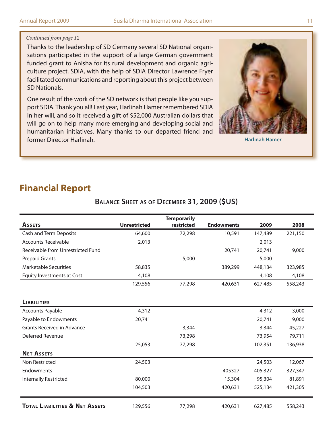#### *Continued from page 12*

Thanks to the leadership of SD Germany several SD National organisations participated in the support of a large German government funded grant to Anisha for its rural development and organic agriculture project. SDIA, with the help of SDIA Director Lawrence Fryer facilitated communications and reporting about this project between SD Nationals.

One result of the work of the SD network is that people like you support SDIA. Thank you all! Last year, Harlinah Hamer remembered SDIA in her will, and so it received a gift of \$52,000 Australian dollars that will go on to help many more emerging and developing social and humanitarian initiatives. Many thanks to our departed friend and former Director Harlinah. **Harlinah Hamer**



# **Financial Report**

|                                           |                     | <b>Temporarily</b> |                   |         |         |
|-------------------------------------------|---------------------|--------------------|-------------------|---------|---------|
| <b>ASSETS</b>                             | <b>Unrestricted</b> | restricted         | <b>Endowments</b> | 2009    | 2008    |
| <b>Cash and Term Deposits</b>             | 64,600              | 72,298             | 10,591            | 147,489 | 221,150 |
| <b>Accounts Receivable</b>                | 2,013               |                    |                   | 2,013   |         |
| Receivable from Unrestricted Fund         |                     |                    | 20,741            | 20,741  | 9,000   |
| <b>Prepaid Grants</b>                     |                     | 5,000              |                   | 5,000   |         |
| <b>Marketable Securities</b>              | 58,835              |                    | 389,299           | 448,134 | 323,985 |
| <b>Equity Investments at Cost</b>         | 4,108               |                    |                   | 4,108   | 4,108   |
|                                           | 129,556             | 77,298             | 420,631           | 627,485 | 558,243 |
| <b>LIABILITIES</b>                        |                     |                    |                   |         |         |
| <b>Accounts Payable</b>                   | 4,312               |                    |                   | 4,312   | 3,000   |
| Payable to Endowments                     | 20,741              |                    |                   | 20,741  | 9,000   |
| <b>Grants Received in Advance</b>         |                     | 3,344              |                   | 3,344   | 45,227  |
| Deferred Revenue                          |                     | 73,298             |                   | 73,954  | 79,711  |
|                                           | 25,053              | 77,298             |                   | 102,351 | 136,938 |
| <b>NET ASSETS</b>                         |                     |                    |                   |         |         |
| Non Restricted                            | 24,503              |                    |                   | 24,503  | 12,067  |
| Endowments                                |                     |                    | 405327            | 405,327 | 327,347 |
| Internally Restricted                     | 80,000              |                    | 15,304            | 95,304  | 81,891  |
|                                           | 104,503             |                    | 420,631           | 525,134 | 421,305 |
| <b>TOTAL LIABILITIES &amp; NET ASSETS</b> | 129,556             | 77,298             | 420,631           | 627,485 | 558,243 |

## **Balance Sheet as of December 31, 2009 (\$US)**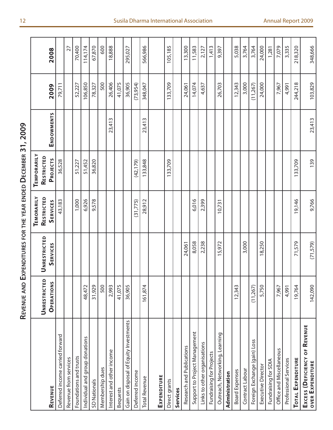| くくく                                                               |
|-------------------------------------------------------------------|
|                                                                   |
| ۱<br>ſ                                                            |
| í<br>I<br>I<br>Ī<br>I<br>ſ                                        |
| ١<br>ı                                                            |
| $\vdots$<br>֦֧ <u>֚֓</u> ֢֢֢֦֧֢ׅ֧֢ׅ֧ׅ֧֧֪ׅ֧֪ׅ֧֚֚֚֚֚֚֚֚֚֚֓֓֡֓֝֬֓֝֓֓ |
| $\frac{1}{2}$<br>j                                                |
| くしい<br>ı                                                          |
| ו<br>ו<br>I<br>:                                                  |
| I<br>l                                                            |
| ı<br>$\begin{array}{c} \hline \end{array}$                        |
|                                                                   |
| I<br>i<br>֞֓֕׆<br>׆<br>ĭ<br>Ć                                     |

|                                                          |                                   |                                        | <b>TEMORARILY</b>             | TEMPORARILY            |                   |          |         |
|----------------------------------------------------------|-----------------------------------|----------------------------------------|-------------------------------|------------------------|-------------------|----------|---------|
| REVENUE                                                  | <b>UNRESTRICTED</b><br>OPERATIONS | <b>UNRESTRICTED</b><br><b>SERVICES</b> | RESTRICTED<br><b>SERVICES</b> | RESTRICTED<br>PROJECTS | <b>ENDOWMENTS</b> | 2009     | 2008    |
| Deferred income carried forward                          |                                   |                                        | 43,183                        | 36,528                 |                   | 79,711   |         |
| Revenue from services                                    |                                   |                                        |                               |                        |                   |          | 27      |
| Foundations and trusts                                   |                                   |                                        | 1,000                         | 51,227                 |                   | 52,227   | 70,400  |
| Individual and group donations                           | 48,472                            |                                        | 6,926                         | 51,452                 |                   | 106,850  | 114,174 |
| SD Nationals                                             | 31,929                            |                                        | 9,578                         | 36,820                 |                   | 78,327   | 67,870  |
| Membership dues                                          | 500                               |                                        |                               |                        |                   | 500      | 600     |
| Interest and other income                                | 2,993                             |                                        |                               |                        | 23,413            | 26,406   | 18,888  |
| Bequests                                                 | 41,075                            |                                        |                               |                        |                   | 41,075   |         |
| Gain on disposal of Equity Investments                   | 36,905                            |                                        |                               |                        |                   | 36,905   | 295,027 |
| Deferred income                                          |                                   |                                        | (31,775)                      | (42, 179)              |                   | (73,954) |         |
| <b>Total Revenue</b>                                     | 161,874                           |                                        | 28,912                        | 133,848                | 23,413            | 348,047  | 566,986 |
| EXPENDITURE                                              |                                   |                                        |                               |                        |                   |          |         |
| Direct grants                                            |                                   |                                        |                               | 133,709                |                   | 133,709  | 105,185 |
| Services                                                 |                                   |                                        |                               |                        |                   |          |         |
| Research and Publications                                |                                   | 24,061                                 |                               |                        |                   | 24,061   | 13,300  |
| Support to Project Management                            |                                   | 8,058                                  | 6,016                         |                        |                   | 14,074   | 11,583  |
| Links to other organisations                             |                                   | 2,238                                  | 2,399                         |                        |                   | 4,637    | 2,127   |
| Fundraising for Projects                                 |                                   |                                        |                               |                        |                   |          | 1,413   |
| Outreach, Networking, Learning                           |                                   | 15,972                                 | 10,731                        |                        |                   | 26,703   | 9,397   |
| Administration                                           |                                   |                                        |                               |                        |                   |          |         |
| <b>Board Expenses</b>                                    | 12,343                            |                                        |                               |                        |                   | 12,343   | 5,038   |
| Contract Labour                                          |                                   | 3,000                                  |                               |                        |                   | 3,000    | 3,764   |
| Foreign Exchange (gain) Loss                             | (11,267)                          |                                        |                               |                        |                   | (11,267) | 3,764   |
| Executive Director                                       | 5,750                             | 18,250                                 |                               |                        |                   | 24,000   | 24,000  |
| Fundraising for SDIA                                     |                                   |                                        |                               |                        |                   |          | 1,281   |
| Office and Miscellaneous                                 | 7,967                             |                                        |                               |                        |                   | 7,967    | 7,079   |
| Professional Services                                    | 4,991                             |                                        |                               |                        |                   | 4,991    | 3,335   |
| <b>TOTAL EXPENDITURE</b>                                 | 19,764                            | 71,579                                 | 19,146                        | 133,709                |                   | 244,218  | 218,320 |
| EXCESS (DEFICIENCY OF REVENUE<br><b>OVER EXPENDITURE</b> | 142,090                           | (71,579)                               | 9,766                         | 139                    | 23,413            | 103,829  | 348,666 |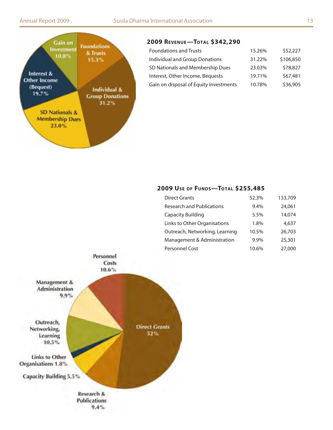

## **2009 Revenue—Total \$342,290**

| <b>Foundations and Trusts</b>          | 15.26% | \$52,227  |
|----------------------------------------|--------|-----------|
| Individual and Group Donations         | 31.22% | \$106,850 |
| SD Nationals and Membership Dues       | 23.03% | \$78,827  |
| Interest, Other Income, Bequests       | 19.71% | \$67,481  |
| Gain on disposal of Equity Investments | 10.78% | \$36,905  |

## **2009 Use of Funds—Total \$255,485**

| <b>Direct Grants</b>             | 52.3% | 133,709 |
|----------------------------------|-------|---------|
| <b>Research and Publications</b> | 9.4%  | 24,061  |
| <b>Capacity Building</b>         | 5.5%  | 14,074  |
| Links to Other Organisations     | 1.8%  | 4,637   |
| Outreach, Networking, Learning   | 10.5% | 26,703  |
| Management & Administration      | 9.9%  | 25,301  |
| Personnel Cost                   | 10.6% | 27,000  |
|                                  |       |         |

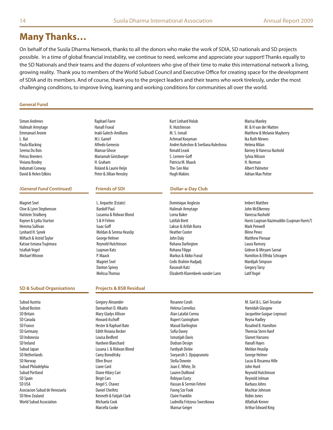# **Many Thanks…**

On behalf of the Susila Dharma Network, thanks to all the donors who make the work of SDIA, SD nationals and SD projects possible. In a time of global financial instability, we continue to need, welcome and appreciate your support! Thanks equally to the SD Nationals and their teams and the dozens of volunteers who give of their time to make this international network a living, growing reality. Thank you to members of the World Subud Council and Executive Office for creating space for the development of SDIA and its members. And of course, thank you to the project leaders and their teams who work tirelessly, under the most challenging conditions, to improve living, learning and working conditions for communities all over the world.

#### **General Fund**

Simon Andrews Halimah Armytage Emmanuel Aronie L. Bat Paula Blacking Serena Du Bois Petrus Brenters Viviana Brodey Indumati Conway David & Helen Edkins

#### *(General Fund Continued)* **Friends of SDI Dollar-a-Day Club**

Magriet Snel Clive & Lynn Stephenson Halstein Stralberg Rayner & Lydia Sturton Hemma Sullivan Lynhard H. Synek Miftach & Astrid Taylor Katsue Ismana Tsujimura Istafiah Vogel Michael Wisnon

#### **SD & Subud Organisations**

Subud Austria Subud Boston SD Britain SD Canada SD France SD Germany SD Indonesia SD Ireland Subud Japan SD Netherlands SD Norway Subud Philadelphia Subud Portland SD Spain SD USA Asociacion Subud de Venezuela SD New Zealand World Subud Association

Raphael Favre Hanafi Fraval Inaki Galech-Amillano M.I. Ganief Alfredo Gemesio Mansur Ghose Mariamah Gintzburger H. Graham Roland & Laurie Heijn Peter & Jillian Hensley

L. Arquette (Estate) Bardolf Paul Lusanna & Ridwan Blond S & H Fehmi Isaac Goff Meldan & Serena Heaslip George Helmer Reynold Hutchinson Luqman Katz P. Maack Magriet Snel Danton Spivey Melissa Thomas

#### Kurt Linhard Holub R. Hutchinson M. S. Ismail Achmad Kooyman Andrei Kuleshov & Svetlana Kuleshova Ronald Leask S. Lemere-Goff Patricia M. Maack The-Son Mai Hugh Makins

Dominique Anglesio Halimah Armytage Lorna Baker Latifah Brett Laksar & Arifah Burra Heather Cooter John Daly Rohana Darlington Rohana Filippi Markus & Akiko Fraval Cedic Brahim Hadjadj Rasunah Katz Elizabeth Klarenbeek-vander Lann

Marisa Manley M. & H van der Matten Matthew & Melanie Mayberry Ika Ruth Mewes Helena Milan Barney & Vanessa Nashold Sylvia Nilsson H. Norman Albert Palmeter Adrian Max Potter

Imbert Matthee John McElkerney Vanessa Nashold Harris Luqman Nazimuddin (Luqman Harris?) Mark Penwell Illène Pevec Matthew Pienaar Laura Ramsey Gideon & Miryam Sarnat Hamilton & Elfrida Schragen Mardijah Simpson Gregory Tarsy Latif Vogel

#### **Projects & BSB Residual**

Gregory Alexander Damanhuri D. Alkaitis Mary Gladys Allison Howard Aschoff Hester & Raphael Bate Edith Viviana Becker Louisa Bedford Hardwin Blanchard Lusana J. & Ridwan Blond Carey Boroditsky Ellen Bruce Liane Card Diane Hilary Carr Birgit Cars Angel S. Chavez Daniel Cheifetz Kenneth & Fatijah Clark Michaela Cook Marcella Cooke

Helena Cornelius Alan Latafat Correa Rupert Cuningham Masud Darlington Sofia Davey Ismutijah Davis Dodson Design Fardiyah Dickie Soeyarsih S. Djojopranoto Stella Downie Joan E. White, Dr. Lauren DuMond Robiyan Easty Hassan & Sermin Fehmi Foong Sze Fook Claire Franklin Ludmilla Fritzova-Swestkowa Mansur Geiger

Rosanne Corah

M. Giel & L. Giel-Tesselar Hamidah Glasgow Jacqueline Guigue-Leproust Reyna Hadley Rosalind B. Hamilton Theresia Stern Hanf Slamet Harsono Hanafi Hayes Meldan Heaslip George Helmer Lucas & Rosanna Hille John Hurd Reynold Hutchinson Reynold Jelman Barbara Johns Muchtar Johnson Robin Jones Alfathah Kerner Arthur Edward King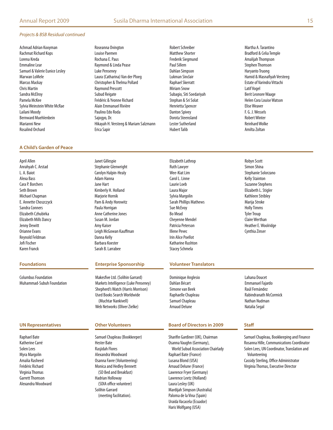#### *Projects & BSB Residual continued*

Achmad Adrian Kooyman Rachmat Richard Kops Lorena Kreda Emmaline Lear Samuel & Valerie Eunice Lesley Marwan LoMele Marcus Mackay Chris Martin Sandra McElroy Pamela McKee Sylvia Weinstein White McRae Lailani Moody Bernward Muehlenbein Marianni New Rosalind Orchard

#### **A Child's Garden of Peace**

April Allen Anrahyah C. Arstad L. A. Baiot Alexa Bass Cara P. Borchers Seth Brown Michael Chapman E. Annette Choszczyck Sandra Conners Elizabeth Czhubirka Elizabeth Mills Dancy Jenny Dewitt Orianne Evans Reynold Feldman Jofi Fischer Karen Franck

Columbus Foundation Muhammad-Subuh Foundation

Raphael Bate Katherine Carré Solen Lees Myra Margolin Amalia Rasheed Frédéric Richard Virginia Thomas Garrett Thomson Alexandra Woodward Roseanna Ovington Louise Paemen Rochana E. Paus Raymond & Linda Pease Luke Penseney Laura (Catharina) Van der Ploeg Christopher & Thelma Pollard Raymond Prescott Subud Reigate Frédéric & Yvonne Richard Alain Emmanuel Rivière Paulino Edo Roda Sajogyo, Dr. Hikayah H. Versteeg & Mariam Salzmann Erica Sapir

Robert Schreiber Matthew Shorter Frederik Siegmund Paul Sillem Dahlan Simpson Lukman Sinclair Raphael Skerratt Miriam Snow Subagio, Siti Soedariyah Stephan & Sri Solat Henrietta Spencer Danton Spivey Dorota Steensland Lester Sutherland Hubert Talib

Martha A. Tarantino Bradford & Celia Temple Amalijah Thompson Stephen Thomson Haryanto Truong Hamid & Masnafiyah Versteeg Estate of Varindra Vittachi Latif Vogel Berit Leonore Waage Helen Cora Louise Watson Elise Weaver F. G. J. Wessels Robert Winter Reinhard Wolke Amilta Zoltan

Janet Gillespie Stephanie Glenwright Carolyn Halpin-Healy Adam Hanna Jane Hart Kimberly H. Holland Marjorie Hornik Pam & Andy Horowitz Paula Horrigan Anne Catherine Jones Susan M. Jordan Amy Kaiser Leigh McGowan Kauffman Danna Kelly Barbara Koester Sarah B. Larrabee

#### **Foundations Enterprise Sponsorship Volunteer Translators**

Makesfive Ltd. (Solihin Garrard) Markets Intelligence (Luke Penseney) Shepherd's Watch (Harris Morrison) Used Books Search Worldwide (Muchtar Nankivell) Web Networks (Oliver Zielke)

#### **Other Volunteers**

Samuel Chapleau (Bookkeeper) Hester Bate Rasjidah Flores Alexandra Woodward Osanna Favre (Volunteering) Monica and Hedley Bennett (SD Bed and Breakfast) Hadrian Holloway (SDIA office volunteer) Solihin Garrard (meeting facilitation).

Elizabeth Lathrop Ruth Lawyer Wee-Kiat Lim Carol L. Linne Laurie Loeb Laura Major Sylvia Margolin Sarah Phillips Mathews Sue McEvoy Bo Mead Cheyenne Mendel Patricia Peterson Illene Pevec Irin Alice Poellot Katharine Rushton Stacey Schmela

Dominique Anglesio Dahlan Bécart Simone van Beek Raphaelle Chapleau Samuel Chapleau Arnaud Delune

#### **UN Representatives Channel Channel Channel Channel Board of Directors in 2009 5taff**

Sharifin Gardiner (UK), Chairman Osanna Vaughn (Germany), World Subud Association Chairlady Raphael Bate (France) Lusana Blond (USA) Arnaud Delune (France) Lawrence Fryer (Germany) Lawrence Leetz (Holland) Laura Lesley (UK) Mardijah Simpson (Australia) Paloma de la Vina (Spain) Uraida Vacacela (Ecuador) Haris Wolfgang (USA)

#### Robyn Scott Simon Shina Stephanie Solorzano Kelly Stainton Suzanne Stephens Elizabeth L. Stigler Kathleen Stribley Marija Stroke Holly Timms Tyler Troup Claire Werthan Heather E. Woolridge Cynthia Zinser

Lahana Doucet Emmanuel Fajardo Raúl Fernández Rabindranath McCormick Nathan Nudman Natalia Segal

Samuel Chapleau, Bookkeeping and Finance Rosanna Hille, Communications Coordinator Solen Lees, UN Coordinator, Translation and Volunteering Cassidy Sterling, Office Administrator Virginia Thomas, Executive Director